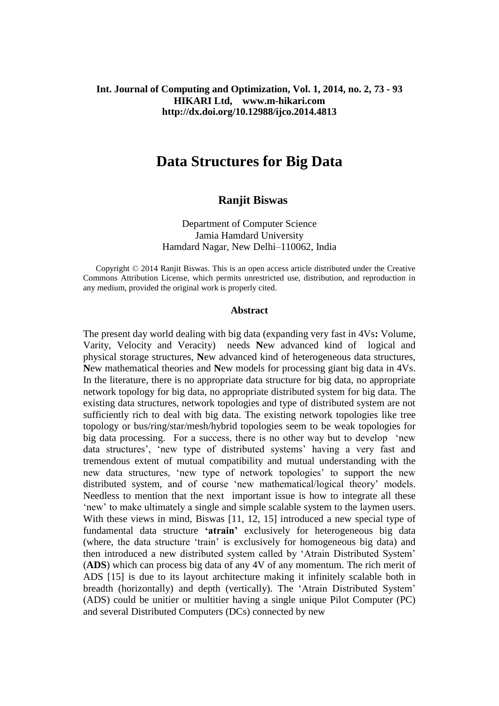## **Int. Journal of Computing and Optimization, Vol. 1, 2014, no. 2, 73 - 93 HIKARI Ltd, www.m-hikari.com http://dx.doi.org/10.12988/ijco.2014.4813**

# **Data Structures for Big Data**

# **Ranjit Biswas**

Department of Computer Science Jamia Hamdard University Hamdard Nagar, New Delhi–110062, India

 Copyright © 2014 Ranjit Biswas. This is an open access article distributed under the Creative Commons Attribution License, which permits unrestricted use, distribution, and reproduction in any medium, provided the original work is properly cited.

#### **Abstract**

The present day world dealing with big data (expanding very fast in 4Vs**:** Volume, Varity, Velocity and Veracity) needs **N**ew advanced kind of logical and physical storage structures, **N**ew advanced kind of heterogeneous data structures, **N**ew mathematical theories and **N**ew models for processing giant big data in 4Vs. In the literature, there is no appropriate data structure for big data, no appropriate network topology for big data, no appropriate distributed system for big data. The existing data structures, network topologies and type of distributed system are not sufficiently rich to deal with big data. The existing network topologies like tree topology or bus/ring/star/mesh/hybrid topologies seem to be weak topologies for big data processing. For a success, there is no other way but to develop 'new data structures', 'new type of distributed systems' having a very fast and tremendous extent of mutual compatibility and mutual understanding with the new data structures, 'new type of network topologies' to support the new distributed system, and of course 'new mathematical/logical theory' models. Needless to mention that the next important issue is how to integrate all these 'new' to make ultimately a single and simple scalable system to the laymen users. With these views in mind, Biswas [11, 12, 15] introduced a new special type of fundamental data structure **'atrain'** exclusively for heterogeneous big data (where, the data structure 'train' is exclusively for homogeneous big data) and then introduced a new distributed system called by 'Atrain Distributed System' (**ADS**) which can process big data of any 4V of any momentum. The rich merit of ADS [15] is due to its layout architecture making it infinitely scalable both in breadth (horizontally) and depth (vertically). The 'Atrain Distributed System' (ADS) could be unitier or multitier having a single unique Pilot Computer (PC) and several Distributed Computers (DCs) connected by new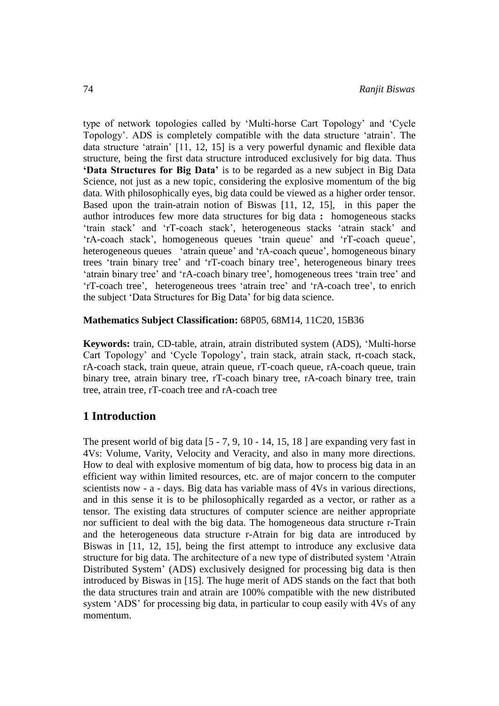type of network topologies called by 'Multi-horse Cart Topology' and 'Cycle Topology'. ADS is completely compatible with the data structure 'atrain'. The data structure 'atrain' [11, 12, 15] is a very powerful dynamic and flexible data structure, being the first data structure introduced exclusively for big data. Thus **'Data Structures for Big Data'** is to be regarded as a new subject in Big Data Science, not just as a new topic, considering the explosive momentum of the big data. With philosophically eyes, big data could be viewed as a higher order tensor. Based upon the train-atrain notion of Biswas [11, 12, 15], in this paper the author introduces few more data structures for big data **:** homogeneous stacks 'train stack' and 'rT-coach stack', heterogeneous stacks 'atrain stack' and 'rA-coach stack', homogeneous queues 'train queue' and 'rT-coach queue', heterogeneous queues 'atrain queue' and 'rA-coach queue', homogeneous binary trees 'train binary tree' and 'rT-coach binary tree', heterogeneous binary trees 'atrain binary tree' and 'rA-coach binary tree', homogeneous trees 'train tree' and 'rT-coach tree', heterogeneous trees 'atrain tree' and 'rA-coach tree', to enrich the subject 'Data Structures for Big Data' for big data science.

#### **Mathematics Subject Classification:** 68P05, 68M14, 11C20, 15B36

**Keywords:** train, CD-table, atrain, atrain distributed system (ADS), 'Multi-horse Cart Topology' and 'Cycle Topology', train stack, atrain stack, rt-coach stack, rA-coach stack, train queue, atrain queue, rT-coach queue, rA-coach queue, train binary tree, atrain binary tree, rT-coach binary tree, rA-coach binary tree, train tree, atrain tree, rT-coach tree and rA-coach tree

# **1 Introduction**

The present world of big data [5 - 7, 9, 10 - 14, 15, 18 ] are expanding very fast in 4Vs: Volume, Varity, Velocity and Veracity, and also in many more directions. How to deal with explosive momentum of big data, how to process big data in an efficient way within limited resources, etc. are of major concern to the computer scientists now - a - days. Big data has variable mass of 4Vs in various directions, and in this sense it is to be philosophically regarded as a vector, or rather as a tensor. The existing data structures of computer science are neither appropriate nor sufficient to deal with the big data. The homogeneous data structure r-Train and the heterogeneous data structure r-Atrain for big data are introduced by Biswas in [11, 12, 15], being the first attempt to introduce any exclusive data structure for big data. The architecture of a new type of distributed system 'Atrain Distributed System' (ADS) exclusively designed for processing big data is then introduced by Biswas in [15]. The huge merit of ADS stands on the fact that both the data structures train and atrain are 100% compatible with the new distributed system 'ADS' for processing big data, in particular to coup easily with 4Vs of any momentum.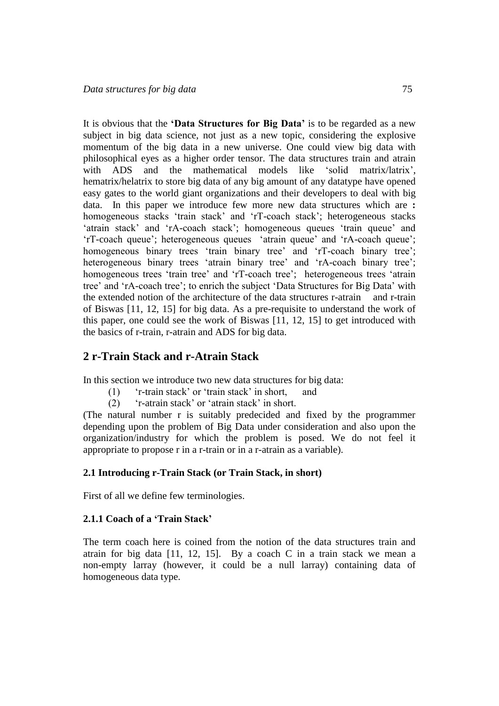It is obvious that the **'Data Structures for Big Data'** is to be regarded as a new subject in big data science, not just as a new topic, considering the explosive momentum of the big data in a new universe. One could view big data with philosophical eyes as a higher order tensor. The data structures train and atrain with ADS and the mathematical models like 'solid matrix/latrix', hematrix/helatrix to store big data of any big amount of any datatype have opened easy gates to the world giant organizations and their developers to deal with big data. In this paper we introduce few more new data structures which are **:** homogeneous stacks 'train stack' and 'rT-coach stack'; heterogeneous stacks 'atrain stack' and 'rA-coach stack'; homogeneous queues 'train queue' and 'rT-coach queue'; heterogeneous queues 'atrain queue' and 'rA-coach queue'; homogeneous binary trees 'train binary tree' and 'rT-coach binary tree'; heterogeneous binary trees 'atrain binary tree' and 'rA-coach binary tree'; homogeneous trees 'train tree' and 'rT-coach tree'; heterogeneous trees 'atrain tree' and 'rA-coach tree'; to enrich the subject 'Data Structures for Big Data' with the extended notion of the architecture of the data structures r-atrain and r-train of Biswas [11, 12, 15] for big data. As a pre-requisite to understand the work of this paper, one could see the work of Biswas [11, 12, 15] to get introduced with the basics of r-train, r-atrain and ADS for big data.

# **2 r-Train Stack and r-Atrain Stack**

In this section we introduce two new data structures for big data:

- (1) 'r-train stack' or 'train stack' in short, and
- (2) 'r-atrain stack' or 'atrain stack' in short.

(The natural number r is suitably predecided and fixed by the programmer depending upon the problem of Big Data under consideration and also upon the organization/industry for which the problem is posed. We do not feel it appropriate to propose r in a r-train or in a r-atrain as a variable).

#### **2.1 Introducing r-Train Stack (or Train Stack, in short)**

First of all we define few terminologies.

# **2.1.1 Coach of a 'Train Stack'**

The term coach here is coined from the notion of the data structures train and atrain for big data [11, 12, 15]. By a coach C in a train stack we mean a non-empty larray (however, it could be a null larray) containing data of homogeneous data type.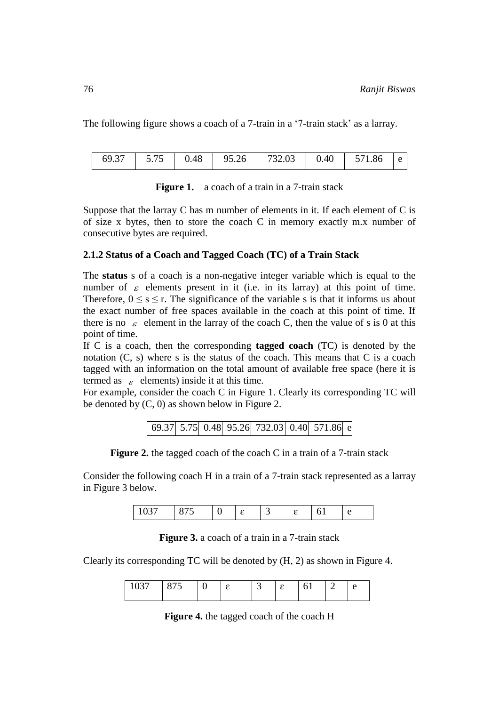The following figure shows a coach of a 7-train in a '7-train stack' as a larray.

| 69.37 | $5.75$ 0.48 |  | 95.26 | $-732.03$ |  | $0.40$ 571.86 |  |
|-------|-------------|--|-------|-----------|--|---------------|--|
|-------|-------------|--|-------|-----------|--|---------------|--|

| <b>Figure 1.</b> a coach of a train in a 7-train stack |  |  |  |  |  |
|--------------------------------------------------------|--|--|--|--|--|
|--------------------------------------------------------|--|--|--|--|--|

Suppose that the larray C has m number of elements in it. If each element of C is of size x bytes, then to store the coach C in memory exactly m.x number of consecutive bytes are required.

# **2.1.2 Status of a Coach and Tagged Coach (TC) of a Train Stack**

The **status** s of a coach is a non-negative integer variable which is equal to the number of  $\varepsilon$  elements present in it (i.e. in its larray) at this point of time. Therefore,  $0 \le s \le r$ . The significance of the variable s is that it informs us about the exact number of free spaces available in the coach at this point of time. If there is no  $\varepsilon$  element in the larray of the coach C, then the value of s is 0 at this point of time.

If C is a coach, then the corresponding **tagged coach** (TC) is denoted by the notation (C, s) where s is the status of the coach. This means that C is a coach tagged with an information on the total amount of available free space (here it is termed as  $\varepsilon$  elements) inside it at this time.

For example, consider the coach C in Figure 1. Clearly its corresponding TC will be denoted by (C, 0) as shown below in Figure 2.

| 69.37 5.75 0.48 95.26 732.03 0.40 571.86 e |  |  |  |
|--------------------------------------------|--|--|--|
|--------------------------------------------|--|--|--|

**Figure 2.** the tagged coach of the coach C in a train of a 7-train stack

Consider the following coach H in a train of a 7-train stack represented as a larray in Figure 3 below.

|--|--|--|--|--|

**Figure 3.** a coach of a train in a 7-train stack

Clearly its corresponding TC will be denoted by (H, 2) as shown in Figure 4.

| ັ |  |  | ╭<br>$\overline{\phantom{0}}$ |  |  |  |  |
|---|--|--|-------------------------------|--|--|--|--|
|---|--|--|-------------------------------|--|--|--|--|

**Figure 4.** the tagged coach of the coach H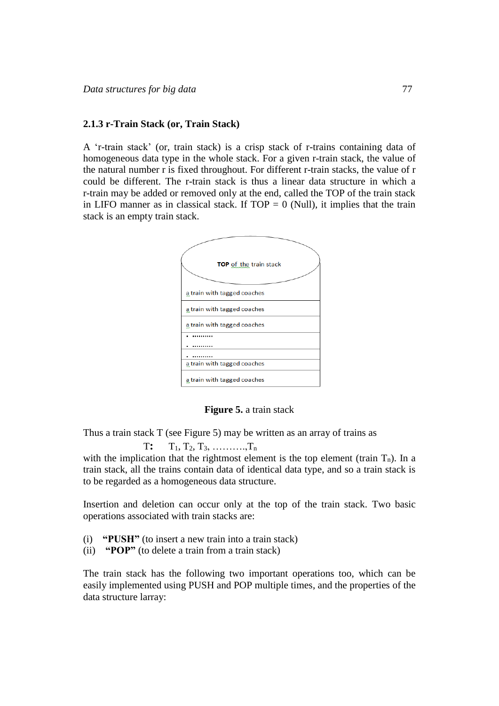#### **2.1.3 r-Train Stack (or, Train Stack)**

A 'r-train stack' (or, train stack) is a crisp stack of r-trains containing data of homogeneous data type in the whole stack. For a given r-train stack, the value of the natural number r is fixed throughout. For different r-train stacks, the value of r could be different. The r-train stack is thus a linear data structure in which a r-train may be added or removed only at the end, called the TOP of the train stack in LIFO manner as in classical stack. If  $TOP = 0$  (Null), it implies that the train stack is an empty train stack.



**Figure 5.** a train stack

Thus a train stack T (see Figure 5) may be written as an array of trains as

 T**:** T1, T2, T3, ……….,T<sup>n</sup> with the implication that the rightmost element is the top element (train  $T_n$ ). In a train stack, all the trains contain data of identical data type, and so a train stack is to be regarded as a homogeneous data structure.

Insertion and deletion can occur only at the top of the train stack. Two basic operations associated with train stacks are:

- (i) **"PUSH"** (to insert a new train into a train stack)
- (ii) **"POP"** (to delete a train from a train stack)

The train stack has the following two important operations too, which can be easily implemented using PUSH and POP multiple times, and the properties of the data structure larray: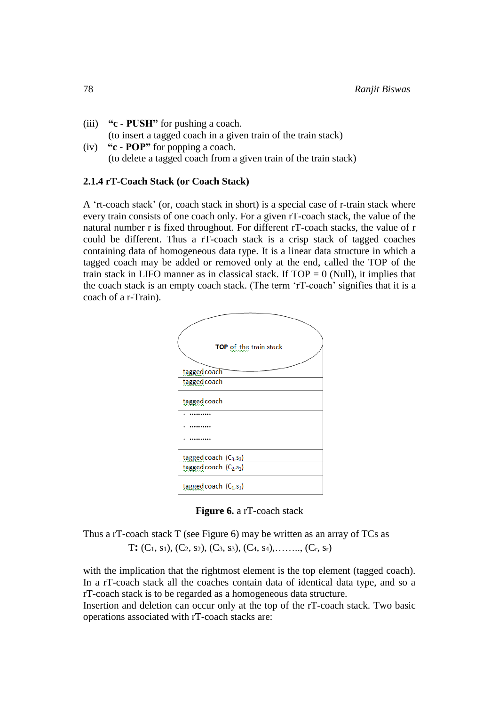- (iii) **"c - PUSH"** for pushing a coach. (to insert a tagged coach in a given train of the train stack)
- (iv) **"c - POP"** for popping a coach. (to delete a tagged coach from a given train of the train stack)

#### **2.1.4 rT-Coach Stack (or Coach Stack)**

A 'rt-coach stack' (or, coach stack in short) is a special case of r-train stack where every train consists of one coach only. For a given rT-coach stack, the value of the natural number r is fixed throughout. For different rT-coach stacks, the value of r could be different. Thus a rT-coach stack is a crisp stack of tagged coaches containing data of homogeneous data type. It is a linear data structure in which a tagged coach may be added or removed only at the end, called the TOP of the train stack in LIFO manner as in classical stack. If  $TOP = 0$  (Null), it implies that the coach stack is an empty coach stack. (The term 'rT-coach' signifies that it is a coach of a r-Train).



**Figure 6.** a rT-coach stack

Thus a rT-coach stack T (see Figure 6) may be written as an array of TCs as T:  $(C_1, s_1)$ ,  $(C_2, s_2)$ ,  $(C_3, s_3)$ ,  $(C_4, s_4)$ , ....,  $(C_r, s_r)$ 

with the implication that the rightmost element is the top element (tagged coach). In a rT-coach stack all the coaches contain data of identical data type, and so a rT-coach stack is to be regarded as a homogeneous data structure.

Insertion and deletion can occur only at the top of the rT-coach stack. Two basic operations associated with rT-coach stacks are: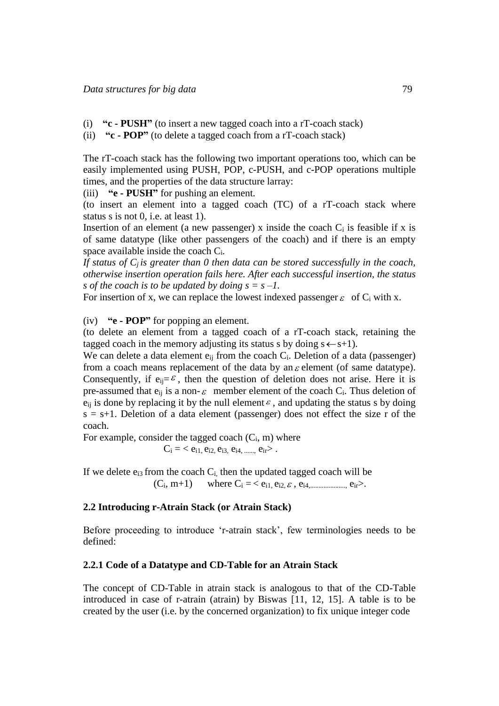- (i) **"c - PUSH"** (to insert a new tagged coach into a rT-coach stack)
- (ii) **"c - POP"** (to delete a tagged coach from a rT-coach stack)

The rT-coach stack has the following two important operations too, which can be easily implemented using PUSH, POP, c-PUSH, and c-POP operations multiple times, and the properties of the data structure larray:

(iii) **"e - PUSH"** for pushing an element.

(to insert an element into a tagged coach (TC) of a rT-coach stack where status s is not 0, i.e. at least 1).

Insertion of an element (a new passenger) x inside the coach  $C_i$  is feasible if x is of same datatype (like other passengers of the coach) and if there is an empty space available inside the coach Ci*.* 

*If status of Cj is greater than 0 then data can be stored successfully in the coach, otherwise insertion operation fails here. After each successful insertion, the status s* of the coach is to be updated by doing  $s = s - 1$ .

For insertion of x, we can replace the lowest indexed passenger  $\varepsilon$  of C<sub>i</sub> with x.

(iv) **"e - POP"** for popping an element.

(to delete an element from a tagged coach of a rT-coach stack, retaining the tagged coach in the memory adjusting its status s by doing  $s \leftarrow s+1$ ).

We can delete a data element  $e_{ii}$  from the coach  $C_i$ . Deletion of a data (passenger) from a coach means replacement of the data by an  $\varepsilon$  element (of same datatype). Consequently, if  $e_{ij} = \varepsilon$ , then the question of deletion does not arise. Here it is pre-assumed that  $e_{ij}$  is a non- $\varepsilon$  member element of the coach  $C_i$ . Thus deletion of  $e_{ij}$  is done by replacing it by the null element  $\varepsilon$ , and updating the status s by doing  $s = s+1$ . Deletion of a data element (passenger) does not effect the size r of the coach.

For example, consider the tagged coach  $(C_i, m)$  where

 $C_i = \langle e_{i1}, e_{i2}, e_{i3}, e_{i4}, \dots, e_{ir} \rangle$ .

If we delete  $e_{i3}$  from the coach  $C_i$ , then the updated tagged coach will be  $(C_i, m+1)$  where  $C_i = \langle e_{i1}, e_{i2}, \varepsilon, e_{i4, \dots} \rangle$  e<sub>ir</sub>>.

#### **2.2 Introducing r-Atrain Stack (or Atrain Stack)**

Before proceeding to introduce 'r-atrain stack', few terminologies needs to be defined:

#### **2.2.1 Code of a Datatype and CD-Table for an Atrain Stack**

The concept of CD-Table in atrain stack is analogous to that of the CD-Table introduced in case of r-atrain (atrain) by Biswas [11, 12, 15]. A table is to be created by the user (i.e. by the concerned organization) to fix unique integer code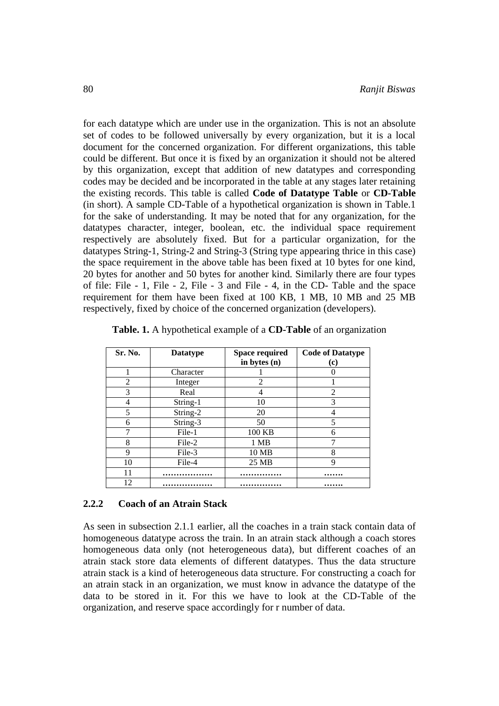for each datatype which are under use in the organization. This is not an absolute set of codes to be followed universally by every organization, but it is a local document for the concerned organization. For different organizations, this table could be different. But once it is fixed by an organization it should not be altered by this organization, except that addition of new datatypes and corresponding codes may be decided and be incorporated in the table at any stages later retaining the existing records. This table is called **Code of Datatype Table** or **CD-Table** (in short). A sample CD-Table of a hypothetical organization is shown in Table.1 for the sake of understanding. It may be noted that for any organization, for the datatypes character, integer, boolean, etc. the individual space requirement respectively are absolutely fixed. But for a particular organization, for the datatypes String-1, String-2 and String-3 (String type appearing thrice in this case) the space requirement in the above table has been fixed at 10 bytes for one kind, 20 bytes for another and 50 bytes for another kind. Similarly there are four types of file: File - 1, File - 2, File - 3 and File - 4, in the CD- Table and the space requirement for them have been fixed at 100 KB, 1 MB, 10 MB and 25 MB respectively, fixed by choice of the concerned organization (developers).

| Sr. No. | <b>Datatype</b> | <b>Space required</b> | <b>Code of Datatype</b> |
|---------|-----------------|-----------------------|-------------------------|
|         |                 | in bytes (n)          | (c)                     |
|         | Character       |                       |                         |
| 2       | Integer         | 2                     |                         |
| 3       | Real            |                       | 2                       |
| 4       | String-1        | 10                    | 3                       |
| 5       | String-2        | 20                    | 4                       |
| 6       | String-3        | 50                    | 5                       |
|         | File-1          | 100 KB                | 6                       |
| 8       | File-2          | 1 MB                  | 7                       |
| 9       | File-3          | 10 MB                 | 8                       |
| 10      | File-4          | 25 MB                 | 9                       |
| 11      |                 |                       |                         |
| 12      |                 |                       |                         |

**Table. 1.** A hypothetical example of a **CD-Table** of an organization

#### **2.2.2 Coach of an Atrain Stack**

As seen in subsection 2.1.1 earlier, all the coaches in a train stack contain data of homogeneous datatype across the train. In an atrain stack although a coach stores homogeneous data only (not heterogeneous data), but different coaches of an atrain stack store data elements of different datatypes. Thus the data structure atrain stack is a kind of heterogeneous data structure. For constructing a coach for an atrain stack in an organization, we must know in advance the datatype of the data to be stored in it. For this we have to look at the CD-Table of the organization, and reserve space accordingly for r number of data.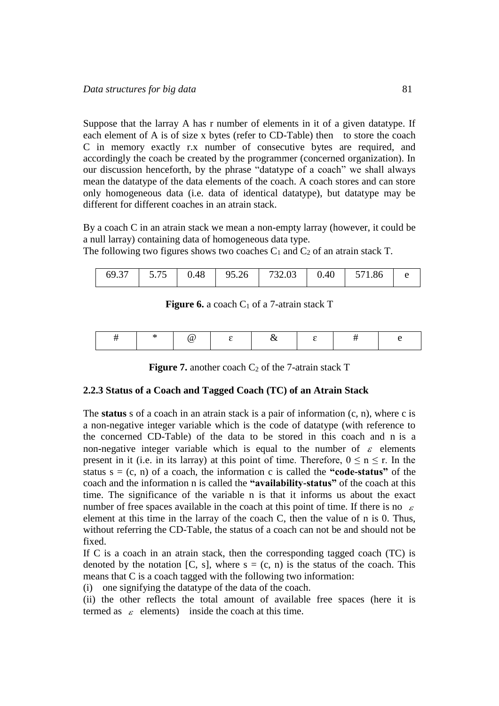Suppose that the larray A has r number of elements in it of a given datatype. If each element of A is of size x bytes (refer to CD-Table) then to store the coach C in memory exactly r.x number of consecutive bytes are required, and accordingly the coach be created by the programmer (concerned organization). In our discussion henceforth, by the phrase "datatype of a coach" we shall always mean the datatype of the data elements of the coach. A coach stores and can store only homogeneous data (i.e. data of identical datatype), but datatype may be different for different coaches in an atrain stack.

By a coach C in an atrain stack we mean a non-empty larray (however, it could be a null larray) containing data of homogeneous data type.

The following two figures shows two coaches  $C_1$  and  $C_2$  of an atrain stack T.

| 69.37<br>5 75<br>732.03<br>0.48<br>95.26<br>0.40<br>1.86<br><u>.</u> |
|----------------------------------------------------------------------|
|----------------------------------------------------------------------|

#### **Figure 6.** a coach  $C_1$  of a 7-atrain stack T

|--|--|--|--|--|--|--|--|

| <b>Figure 7.</b> another coach $C_2$ of the 7-atrain stack T |  |  |  |  |  |  |  |
|--------------------------------------------------------------|--|--|--|--|--|--|--|
|--------------------------------------------------------------|--|--|--|--|--|--|--|

#### **2.2.3 Status of a Coach and Tagged Coach (TC) of an Atrain Stack**

The **status** s of a coach in an atrain stack is a pair of information (c, n), where c is a non-negative integer variable which is the code of datatype (with reference to the concerned CD-Table) of the data to be stored in this coach and n is a non-negative integer variable which is equal to the number of  $\varepsilon$  elements present in it (i.e. in its larray) at this point of time. Therefore,  $0 \le n \le r$ . In the status  $s = (c, n)$  of a coach, the information c is called the **"code-status"** of the coach and the information n is called the **"availability-status"** of the coach at this time. The significance of the variable n is that it informs us about the exact number of free spaces available in the coach at this point of time. If there is no  $\varepsilon$ element at this time in the larray of the coach C, then the value of n is 0. Thus, without referring the CD-Table, the status of a coach can not be and should not be fixed.

If C is a coach in an atrain stack, then the corresponding tagged coach (TC) is denoted by the notation [C, s], where  $s = (c, n)$  is the status of the coach. This means that C is a coach tagged with the following two information:

(i) one signifying the datatype of the data of the coach.

(ii) the other reflects the total amount of available free spaces (here it is termed as  $\varepsilon$  elements) inside the coach at this time.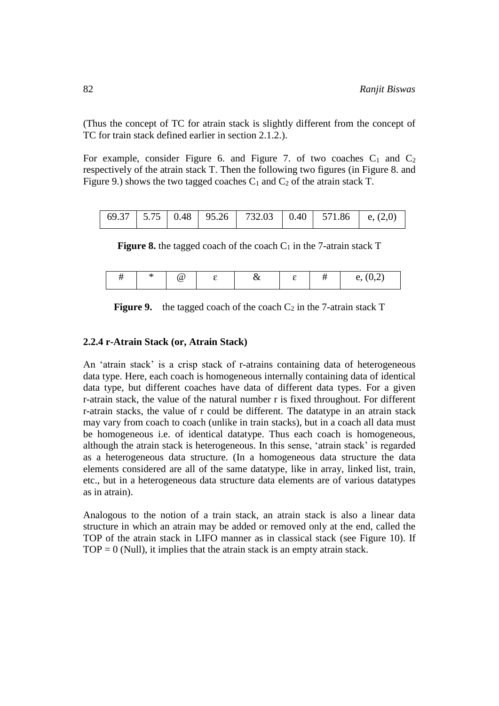(Thus the concept of TC for atrain stack is slightly different from the concept of TC for train stack defined earlier in section 2.1.2.).

For example, consider Figure 6. and Figure 7. of two coaches  $C_1$  and  $C_2$ respectively of the atrain stack T. Then the following two figures (in Figure 8. and Figure 9.) shows the two tagged coaches  $C_1$  and  $C_2$  of the atrain stack T.

**Figure 8.** the tagged coach of the coach  $C_1$  in the 7-atrain stack  $T$ 

|  |  | ίa |  | u |  |  | $\Delta$<br>ັ |
|--|--|----|--|---|--|--|---------------|
|--|--|----|--|---|--|--|---------------|

|  |  |  | <b>Figure 9.</b> the tagged coach of the coach $C_2$ in the 7-atrain stack T |  |
|--|--|--|------------------------------------------------------------------------------|--|
|--|--|--|------------------------------------------------------------------------------|--|

#### **2.2.4 r-Atrain Stack (or, Atrain Stack)**

An 'atrain stack' is a crisp stack of r-atrains containing data of heterogeneous data type. Here, each coach is homogeneous internally containing data of identical data type, but different coaches have data of different data types. For a given r-atrain stack, the value of the natural number r is fixed throughout. For different r-atrain stacks, the value of r could be different. The datatype in an atrain stack may vary from coach to coach (unlike in train stacks), but in a coach all data must be homogeneous i.e. of identical datatype. Thus each coach is homogeneous, although the atrain stack is heterogeneous. In this sense, 'atrain stack' is regarded as a heterogeneous data structure. (In a homogeneous data structure the data elements considered are all of the same datatype, like in array, linked list, train, etc., but in a heterogeneous data structure data elements are of various datatypes as in atrain).

Analogous to the notion of a train stack, an atrain stack is also a linear data structure in which an atrain may be added or removed only at the end, called the TOP of the atrain stack in LIFO manner as in classical stack (see Figure 10). If  $TOP = 0$  (Null), it implies that the atrain stack is an empty atrain stack.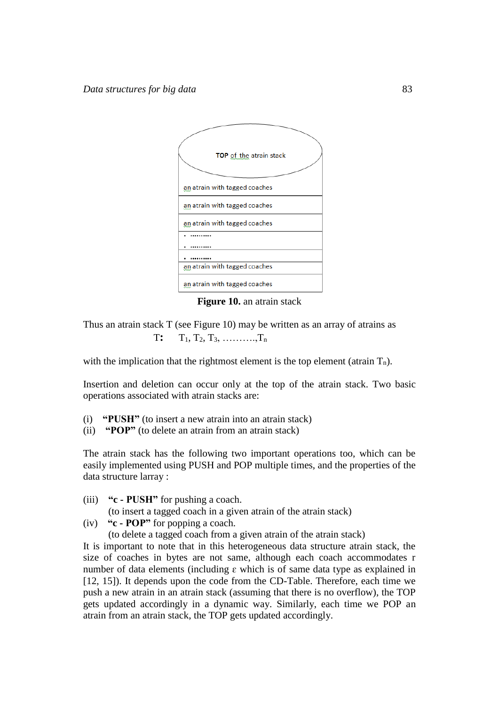

**Figure 10.** an atrain stack

Thus an atrain stack T (see Figure 10) may be written as an array of atrains as  $T: T_1, T_2, T_3, \ldots, T_n$ 

with the implication that the rightmost element is the top element (atrain  $T_n$ ).

Insertion and deletion can occur only at the top of the atrain stack. Two basic operations associated with atrain stacks are:

- (i) **"PUSH"** (to insert a new atrain into an atrain stack)
- (ii) **"POP"** (to delete an atrain from an atrain stack)

The atrain stack has the following two important operations too, which can be easily implemented using PUSH and POP multiple times, and the properties of the data structure larray :

- (iii) **"c - PUSH"** for pushing a coach.
- (to insert a tagged coach in a given atrain of the atrain stack)
- (iv) **"c - POP"** for popping a coach.

(to delete a tagged coach from a given atrain of the atrain stack)

It is important to note that in this heterogeneous data structure atrain stack, the size of coaches in bytes are not same, although each coach accommodates r number of data elements (including  $\varepsilon$  which is of same data type as explained in [12, 15]). It depends upon the code from the CD-Table. Therefore, each time we push a new atrain in an atrain stack (assuming that there is no overflow), the TOP gets updated accordingly in a dynamic way. Similarly, each time we POP an atrain from an atrain stack, the TOP gets updated accordingly.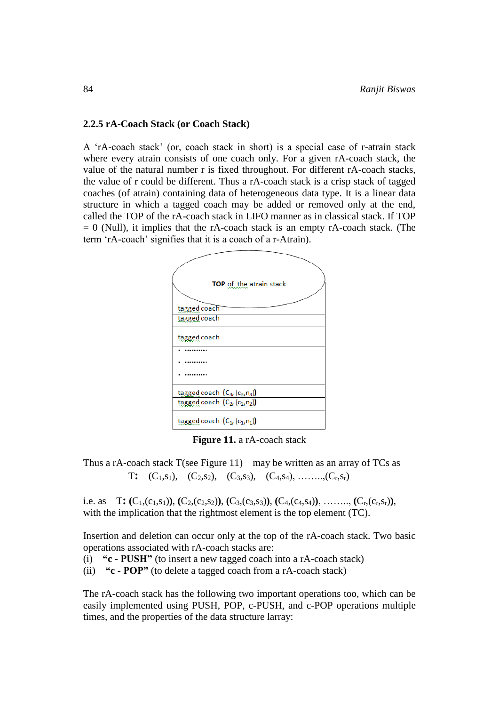#### **2.2.5 rA-Coach Stack (or Coach Stack)**

A 'rA-coach stack' (or, coach stack in short) is a special case of r-atrain stack where every atrain consists of one coach only. For a given rA-coach stack, the value of the natural number r is fixed throughout. For different rA-coach stacks, the value of r could be different. Thus a rA-coach stack is a crisp stack of tagged coaches (of atrain) containing data of heterogeneous data type. It is a linear data structure in which a tagged coach may be added or removed only at the end, called the TOP of the rA-coach stack in LIFO manner as in classical stack. If TOP  $= 0$  (Null), it implies that the rA-coach stack is an empty rA-coach stack. (The term 'rA-coach' signifies that it is a coach of a r-Atrain).

| <b>TOP</b> of the atrain stack   |
|----------------------------------|
| tagged coach                     |
| tagged coach                     |
| tagged coach                     |
|                                  |
|                                  |
|                                  |
| tagged coach $(C_3, (c_3, n_3))$ |
| tagged coach $(C_2, (c_2, n_2))$ |
| tagged coach $(C_1, (c_1, n_1))$ |

**Figure 11.** a rA-coach stack

Thus a rA-coach stack  $T$ (see Figure 11) may be written as an array of  $TCs$  as T**:** (C1,s1), (C2,s2), (C3,s3), (C4,s4), ……..,(Cr,sr)

i.e. as  $T: (C_1, (c_1, s_1)), (C_2, (c_2, s_2)), (C_3, (c_3, s_3)), (C_4, (c_4, s_4)), \ldots, (C_r, (c_r, s_r)),$ with the implication that the rightmost element is the top element (TC).

Insertion and deletion can occur only at the top of the rA-coach stack. Two basic operations associated with rA-coach stacks are:

- (i) **"c - PUSH"** (to insert a new tagged coach into a rA-coach stack)
- (ii) **"c - POP"** (to delete a tagged coach from a rA-coach stack)

The rA-coach stack has the following two important operations too, which can be easily implemented using PUSH, POP, c-PUSH, and c-POP operations multiple times, and the properties of the data structure larray: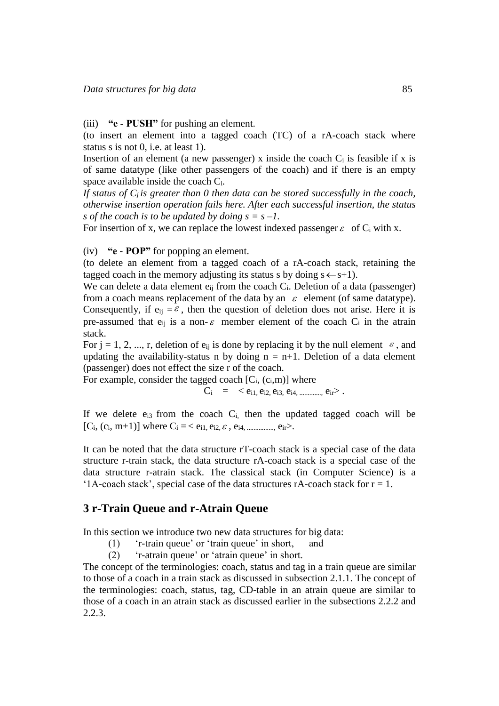(iii) **"e - PUSH"** for pushing an element.

(to insert an element into a tagged coach (TC) of a rA-coach stack where status s is not 0, i.e. at least 1).

Insertion of an element (a new passenger) x inside the coach  $C_i$  is feasible if x is of same datatype (like other passengers of the coach) and if there is an empty space available inside the coach Ci*.* 

If status of  $C_i$  *is greater than* 0 then data can be stored successfully in the coach, *otherwise insertion operation fails here. After each successful insertion, the status s* of the coach is to be updated by doing  $s = s - 1$ .

For insertion of x, we can replace the lowest indexed passenger  $\varepsilon$  of C<sub>i</sub> with x.

(iv) **"e - POP"** for popping an element.

(to delete an element from a tagged coach of a rA-coach stack, retaining the tagged coach in the memory adjusting its status s by doing  $s \leftarrow s+1$ ).

We can delete a data element  $e_{ij}$  from the coach  $C_i$ . Deletion of a data (passenger) from a coach means replacement of the data by an  $\varepsilon$  element (of same datatype). Consequently, if  $e_{ij} = \varepsilon$ , then the question of deletion does not arise. Here it is pre-assumed that  $e_{ij}$  is a non- $\varepsilon$  member element of the coach  $C_i$  in the atrain stack.

For  $j = 1, 2, ..., r$ , deletion of  $e_{ij}$  is done by replacing it by the null element  $\varepsilon$ , and updating the availability-status n by doing  $n = n+1$ . Deletion of a data element (passenger) does not effect the size r of the coach.

For example, consider the tagged coach  $[C_i, (c_i,m)]$  where

 $C_i = \langle e_{i1}, e_{i2}, e_{i3}, e_{i4}, \dots, e_{ir} \rangle$ .

If we delete  $e_{i3}$  from the coach  $C_i$ , then the updated tagged coach will be  $[C_i, (c_i, m+1)]$  where  $C_i = \langle e_{i1}, e_{i2}, \varepsilon, e_{i4}, \dots, e_{ir} \rangle$ .

It can be noted that the data structure rT-coach stack is a special case of the data structure r-train stack, the data structure rA-coach stack is a special case of the data structure r-atrain stack. The classical stack (in Computer Science) is a '1A-coach stack', special case of the data structures  $rA$ -coach stack for  $r = 1$ .

# **3 r-Train Queue and r-Atrain Queue**

In this section we introduce two new data structures for big data:

- (1) 'r-train queue' or 'train queue' in short, and
- (2) 'r-atrain queue' or 'atrain queue' in short.

The concept of the terminologies: coach, status and tag in a train queue are similar to those of a coach in a train stack as discussed in subsection 2.1.1. The concept of the terminologies: coach, status, tag, CD-table in an atrain queue are similar to those of a coach in an atrain stack as discussed earlier in the subsections 2.2.2 and 2.2.3.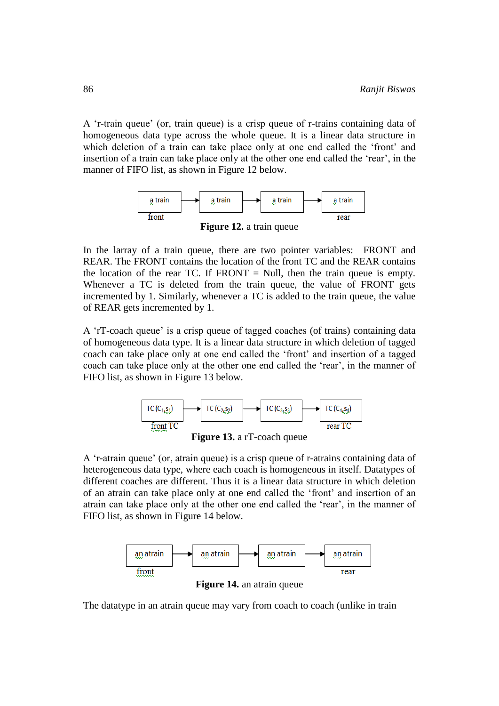A 'r-train queue' (or, train queue) is a crisp queue of r-trains containing data of homogeneous data type across the whole queue. It is a linear data structure in which deletion of a train can take place only at one end called the 'front' and insertion of a train can take place only at the other one end called the 'rear', in the manner of FIFO list, as shown in Figure 12 below.



**Figure 12.** a train queue

In the larray of a train queue, there are two pointer variables: FRONT and REAR. The FRONT contains the location of the front TC and the REAR contains the location of the rear TC. If  $FRONT = Null$ , then the train queue is empty. Whenever a TC is deleted from the train queue, the value of FRONT gets incremented by 1. Similarly, whenever a TC is added to the train queue, the value of REAR gets incremented by 1.

A 'rT-coach queue' is a crisp queue of tagged coaches (of trains) containing data of homogeneous data type. It is a linear data structure in which deletion of tagged coach can take place only at one end called the 'front' and insertion of a tagged coach can take place only at the other one end called the 'rear', in the manner of FIFO list, as shown in Figure 13 below.





A 'r-atrain queue' (or, atrain queue) is a crisp queue of r-atrains containing data of heterogeneous data type, where each coach is homogeneous in itself. Datatypes of different coaches are different. Thus it is a linear data structure in which deletion of an atrain can take place only at one end called the 'front' and insertion of an atrain can take place only at the other one end called the 'rear', in the manner of FIFO list, as shown in Figure 14 below.



**Figure 14.** an atrain queue

The datatype in an atrain queue may vary from coach to coach (unlike in train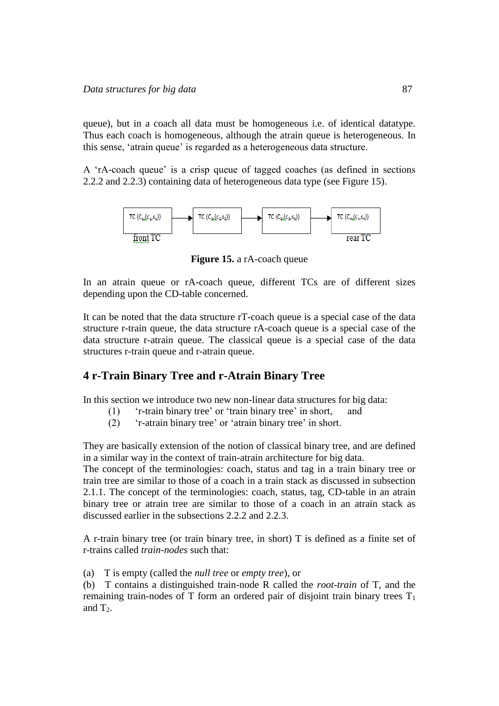queue), but in a coach all data must be homogeneous i.e. of identical datatype. Thus each coach is homogeneous, although the atrain queue is heterogeneous. In this sense, 'atrain queue' is regarded as a heterogeneous data structure.

A 'rA-coach queue' is a crisp queue of tagged coaches (as defined in sections 2.2.2 and 2.2.3) containing data of heterogeneous data type (see Figure 15).



**Figure 15.** a rA-coach queue

In an atrain queue or rA-coach queue, different TCs are of different sizes depending upon the CD-table concerned.

It can be noted that the data structure rT-coach queue is a special case of the data structure r-train queue, the data structure rA-coach queue is a special case of the data structure r-atrain queue. The classical queue is a special case of the data structures r-train queue and r-atrain queue.

# **4 r-Train Binary Tree and r-Atrain Binary Tree**

In this section we introduce two new non-linear data structures for big data:

- (1) 'r-train binary tree' or 'train binary tree' in short, and
- (2) 'r-atrain binary tree' or 'atrain binary tree' in short.

They are basically extension of the notion of classical binary tree, and are defined in a similar way in the context of train-atrain architecture for big data.

The concept of the terminologies: coach, status and tag in a train binary tree or train tree are similar to those of a coach in a train stack as discussed in subsection 2.1.1. The concept of the terminologies: coach, status, tag, CD-table in an atrain binary tree or atrain tree are similar to those of a coach in an atrain stack as discussed earlier in the subsections 2.2.2 and 2.2.3.

A r-train binary tree (or train binary tree, in short) T is defined as a finite set of r-trains called *train-nodes* such that:

(a) T is empty (called the *null tree* or *empty tree*), or

(b) T contains a distinguished train-node R called the *root-train* of T, and the remaining train-nodes of T form an ordered pair of disjoint train binary trees  $T_1$ and  $T<sub>2</sub>$ .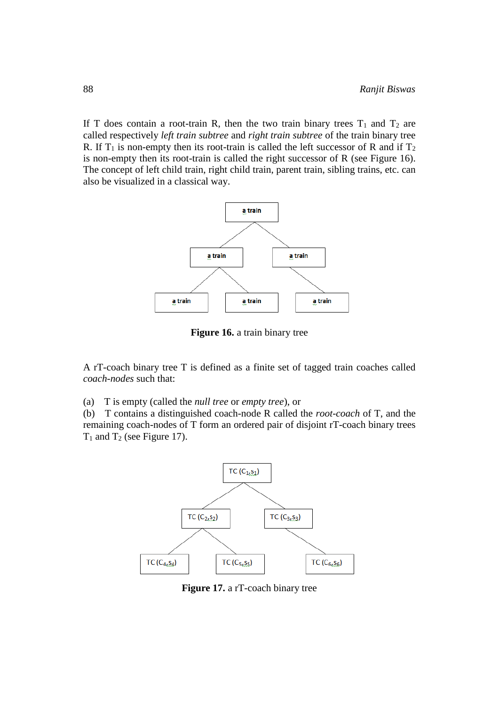If T does contain a root-train R, then the two train binary trees  $T_1$  and  $T_2$  are called respectively *left train subtree* and *right train subtree* of the train binary tree R. If  $T_1$  is non-empty then its root-train is called the left successor of R and if  $T_2$ is non-empty then its root-train is called the right successor of R (see Figure 16). The concept of left child train, right child train, parent train, sibling trains, etc. can also be visualized in a classical way.



**Figure 16.** a train binary tree

A rT-coach binary tree T is defined as a finite set of tagged train coaches called *coach-nodes* such that:

(a) T is empty (called the *null tree* or *empty tree*), or

(b) T contains a distinguished coach-node R called the *root-coach* of T, and the remaining coach-nodes of T form an ordered pair of disjoint rT-coach binary trees  $T_1$  and  $T_2$  (see Figure 17).



**Figure 17.** a rT-coach binary tree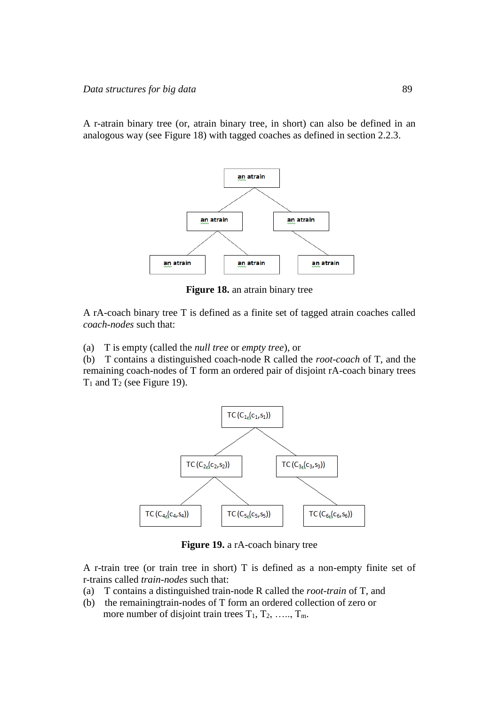A r-atrain binary tree (or, atrain binary tree, in short) can also be defined in an analogous way (see Figure 18) with tagged coaches as defined in section 2.2.3.



**Figure 18.** an atrain binary tree

A rA-coach binary tree T is defined as a finite set of tagged atrain coaches called *coach-nodes* such that:

(a) T is empty (called the *null tree* or *empty tree*), or

(b) T contains a distinguished coach-node R called the *root-coach* of T, and the remaining coach-nodes of T form an ordered pair of disjoint rA-coach binary trees  $T_1$  and  $T_2$  (see Figure 19).



**Figure 19.** a rA-coach binary tree

A r-train tree (or train tree in short) T is defined as a non-empty finite set of r-trains called *train-nodes* such that:

- (a) T contains a distinguished train-node R called the *root-train* of T, and
- (b) the remainingtrain-nodes of T form an ordered collection of zero or more number of disjoint train trees  $T_1, T_2, \ldots, T_m$ .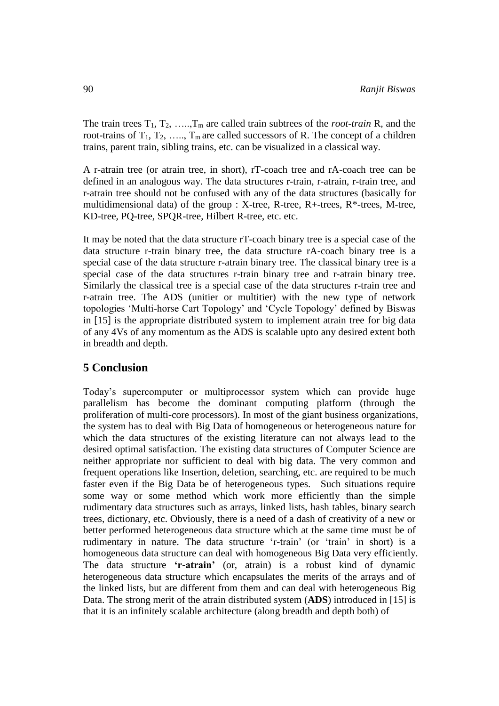The train trees  $T_1, T_2, \ldots, T_m$  are called train subtrees of the *root-train* R, and the root-trains of  $T_1, T_2, \ldots, T_m$  are called successors of R. The concept of a children trains, parent train, sibling trains, etc. can be visualized in a classical way.

A r-atrain tree (or atrain tree, in short), rT-coach tree and rA-coach tree can be defined in an analogous way. The data structures r-train, r-atrain, r-train tree, and r-atrain tree should not be confused with any of the data structures (basically for multidimensional data) of the group :  $X$ -tree, R-tree, R+-trees, R<sup>\*</sup>-trees, M-tree, KD-tree, PQ-tree, SPQR-tree, Hilbert R-tree, etc. etc.

It may be noted that the data structure rT-coach binary tree is a special case of the data structure r-train binary tree, the data structure rA-coach binary tree is a special case of the data structure r-atrain binary tree. The classical binary tree is a special case of the data structures r-train binary tree and r-atrain binary tree. Similarly the classical tree is a special case of the data structures r-train tree and r-atrain tree. The ADS (unitier or multitier) with the new type of network topologies 'Multi-horse Cart Topology' and 'Cycle Topology' defined by Biswas in [15] is the appropriate distributed system to implement atrain tree for big data of any 4Vs of any momentum as the ADS is scalable upto any desired extent both in breadth and depth.

# **5 Conclusion**

Today's supercomputer or multiprocessor system which can provide huge parallelism has become the dominant computing platform (through the proliferation of multi-core processors). In most of the giant business organizations, the system has to deal with Big Data of homogeneous or heterogeneous nature for which the data structures of the existing literature can not always lead to the desired optimal satisfaction. The existing data structures of Computer Science are neither appropriate nor sufficient to deal with big data. The very common and frequent operations like Insertion, deletion, searching, etc. are required to be much faster even if the Big Data be of heterogeneous types. Such situations require some way or some method which work more efficiently than the simple rudimentary data structures such as arrays, linked lists, hash tables, binary search trees, dictionary, etc. Obviously, there is a need of a dash of creativity of a new or better performed heterogeneous data structure which at the same time must be of rudimentary in nature. The data structure 'r-train' (or 'train' in short) is a homogeneous data structure can deal with homogeneous Big Data very efficiently. The data structure **'r-atrain'** (or, atrain) is a robust kind of dynamic heterogeneous data structure which encapsulates the merits of the arrays and of the linked lists, but are different from them and can deal with heterogeneous Big Data. The strong merit of the atrain distributed system (**ADS**) introduced in [15] is that it is an infinitely scalable architecture (along breadth and depth both) of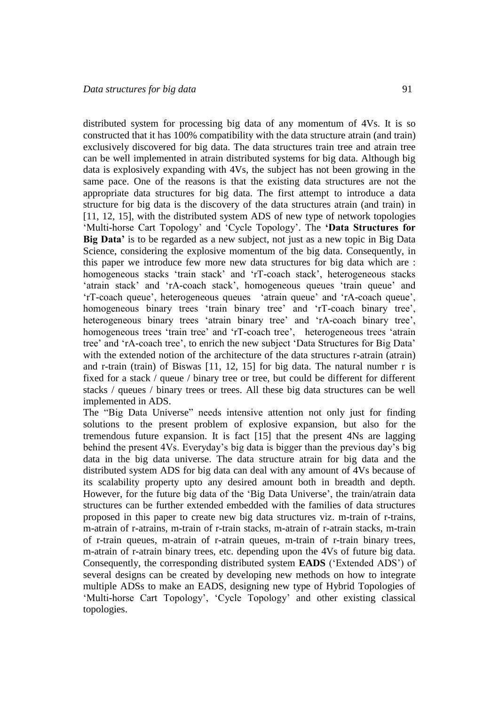distributed system for processing big data of any momentum of 4Vs. It is so constructed that it has 100% compatibility with the data structure atrain (and train) exclusively discovered for big data. The data structures train tree and atrain tree can be well implemented in atrain distributed systems for big data. Although big data is explosively expanding with 4Vs, the subject has not been growing in the same pace. One of the reasons is that the existing data structures are not the appropriate data structures for big data. The first attempt to introduce a data structure for big data is the discovery of the data structures atrain (and train) in [11, 12, 15], with the distributed system ADS of new type of network topologies 'Multi-horse Cart Topology' and 'Cycle Topology'. The **'Data Structures for Big Data'** is to be regarded as a new subject, not just as a new topic in Big Data Science, considering the explosive momentum of the big data. Consequently, in this paper we introduce few more new data structures for big data which are : homogeneous stacks 'train stack' and 'rT-coach stack', heterogeneous stacks 'atrain stack' and 'rA-coach stack', homogeneous queues 'train queue' and 'rT-coach queue', heterogeneous queues 'atrain queue' and 'rA-coach queue', homogeneous binary trees 'train binary tree' and 'rT-coach binary tree', heterogeneous binary trees 'atrain binary tree' and 'rA-coach binary tree', homogeneous trees 'train tree' and 'rT-coach tree', heterogeneous trees 'atrain tree' and 'rA-coach tree', to enrich the new subject 'Data Structures for Big Data' with the extended notion of the architecture of the data structures r-atrain (atrain) and r-train (train) of Biswas [11, 12, 15] for big data. The natural number r is fixed for a stack / queue / binary tree or tree, but could be different for different stacks / queues / binary trees or trees. All these big data structures can be well implemented in ADS.

The "Big Data Universe" needs intensive attention not only just for finding solutions to the present problem of explosive expansion, but also for the tremendous future expansion. It is fact [15] that the present 4Ns are lagging behind the present 4Vs. Everyday's big data is bigger than the previous day's big data in the big data universe. The data structure atrain for big data and the distributed system ADS for big data can deal with any amount of 4Vs because of its scalability property upto any desired amount both in breadth and depth. However, for the future big data of the 'Big Data Universe', the train/atrain data structures can be further extended embedded with the families of data structures proposed in this paper to create new big data structures viz. m-train of r-trains, m-atrain of r-atrains, m-train of r-train stacks, m-atrain of r-atrain stacks, m-train of r-train queues, m-atrain of r-atrain queues, m-train of r-train binary trees, m-atrain of r-atrain binary trees, etc. depending upon the 4Vs of future big data. Consequently, the corresponding distributed system **EADS** ('Extended ADS') of several designs can be created by developing new methods on how to integrate multiple ADSs to make an EADS, designing new type of Hybrid Topologies of 'Multi-horse Cart Topology', 'Cycle Topology' and other existing classical topologies.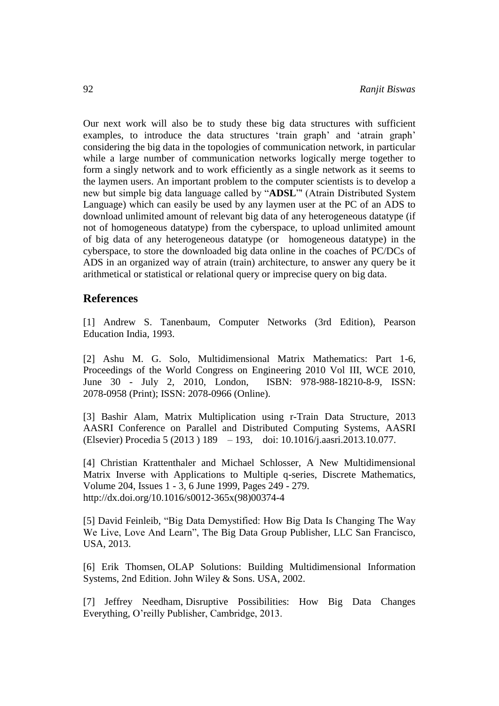Our next work will also be to study these big data structures with sufficient examples, to introduce the data structures 'train graph' and 'atrain graph' considering the big data in the topologies of communication network, in particular while a large number of communication networks logically merge together to form a singly network and to work efficiently as a single network as it seems to the laymen users. An important problem to the computer scientists is to develop a new but simple big data language called by "**ADSL**"' (Atrain Distributed System Language) which can easily be used by any laymen user at the PC of an ADS to download unlimited amount of relevant big data of any heterogeneous datatype (if not of homogeneous datatype) from the cyberspace, to upload unlimited amount of big data of any heterogeneous datatype (or homogeneous datatype) in the cyberspace, to store the downloaded big data online in the coaches of PC/DCs of ADS in an organized way of atrain (train) architecture, to answer any query be it arithmetical or statistical or relational query or imprecise query on big data.

# **References**

[1] Andrew S. Tanenbaum, Computer Networks (3rd Edition), Pearson Education India, 1993.

[2] Ashu M. G. Solo, Multidimensional Matrix Mathematics: Part 1-6, Proceedings of the World Congress on Engineering 2010 Vol III, WCE 2010, June 30 - July 2, 2010, London, ISBN: 978-988-18210-8-9, ISSN: 2078-0958 (Print); ISSN: 2078-0966 (Online).

[3] Bashir Alam, Matrix Multiplication using r-Train Data Structure, 2013 AASRI Conference on Parallel and Distributed Computing Systems, AASRI (Elsevier) Procedia 5 (2013 ) 189 – 193, doi: 10.1016/j.aasri.2013.10.077.

[4] Christian Krattenthaler and Michael Schlosser, A New Multidimensional Matrix Inverse with Applications to Multiple q-series, Discrete Mathematics, Volume 204, Issues 1 - 3, 6 June 1999, Pages 249 - 279. [http://dx.doi.org/10.1016/s0012-365x\(98\)00374-4](http://dx.doi.org/10.1016/s0012-365x%2898%2900374-4) 

[5] David Feinleib, "Big Data Demystified: How Big Data Is Changing The Way We Live, Love And Learn", The Big Data Group Publisher, LLC San Francisco, USA, 2013.

[6] Erik Thomsen, OLAP Solutions: Building Multidimensional Information Systems, 2nd Edition. John Wiley & Sons. USA, 2002.

[7] Jeffrey Needham, Disruptive Possibilities: How Big Data Changes Everything, O'reilly Publisher, Cambridge, 2013.